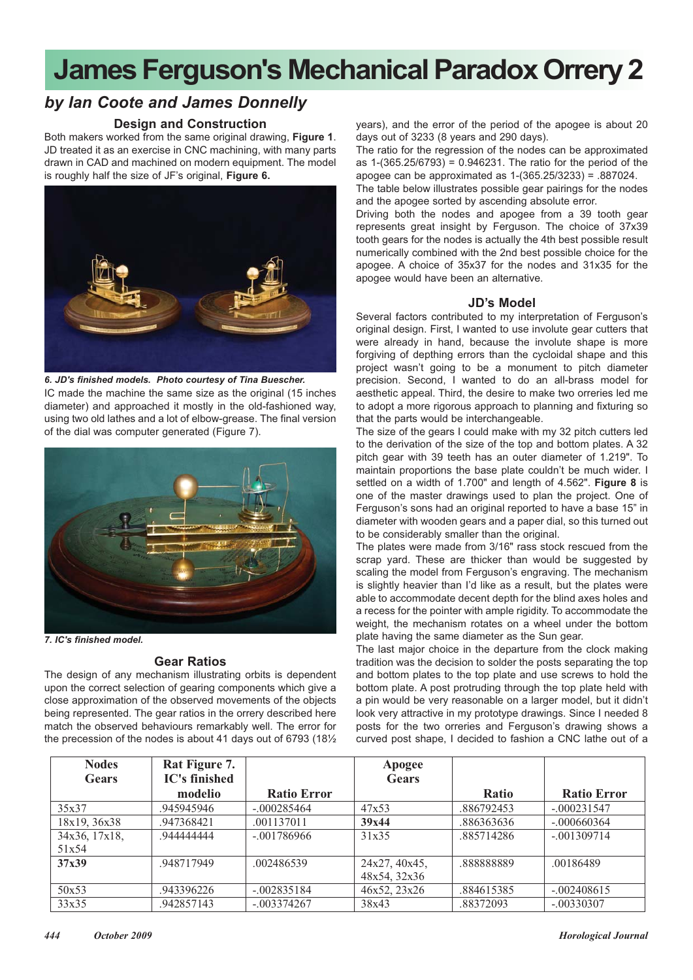## **James Ferguson's Mechanical Paradox Orrery 2**

### *by Ian Coote and James Donnelly*

#### **Design and Construction**

Both makers worked from the same original drawing, **Figure 1**. JD treated it as an exercise in CNC machining, with many parts drawn in CAD and machined on modern equipment. The model is roughly half the size of JF's original, **Figure 6.**



*6. JD's finished models. Photo courtesy of Tina Buescher.*

IC made the machine the same size as the original (15 inches diameter) and approached it mostly in the old-fashioned way, using two old lathes and a lot of elbow-grease. The final version of the dial was computer generated (Figure 7).



*7. IC's finished model.*

#### **Gear Ratios**

The design of any mechanism illustrating orbits is dependent upon the correct selection of gearing components which give a close approximation of the observed movements of the objects being represented. The gear ratios in the orrery described here match the observed behaviours remarkably well. The error for the precession of the nodes is about 41 days out of 6793 (18½ years), and the error of the period of the apogee is about 20 days out of 3233 (8 years and 290 days).

The ratio for the regression of the nodes can be approximated as 1-(365.25/6793) = 0.946231. The ratio for the period of the apogee can be approximated as 1-(365.25/3233) = .887024.

The table below illustrates possible gear pairings for the nodes and the apogee sorted by ascending absolute error.

Driving both the nodes and apogee from a 39 tooth gear represents great insight by Ferguson. The choice of 37x39 tooth gears for the nodes is actually the 4th best possible result numerically combined with the 2nd best possible choice for the apogee. A choice of 35x37 for the nodes and 31x35 for the apogee would have been an alternative.

#### **JD's Model**

Several factors contributed to my interpretation of Ferguson's original design. First, I wanted to use involute gear cutters that were already in hand, because the involute shape is more forgiving of depthing errors than the cycloidal shape and this project wasn't going to be a monument to pitch diameter precision. Second, I wanted to do an all-brass model for aesthetic appeal. Third, the desire to make two orreries led me to adopt a more rigorous approach to planning and fixturing so that the parts would be interchangeable.

The size of the gears I could make with my 32 pitch cutters led to the derivation of the size of the top and bottom plates. A 32 pitch gear with 39 teeth has an outer diameter of 1.219". To maintain proportions the base plate couldn't be much wider. I settled on a width of 1.700" and length of 4.562". **Figure 8** is one of the master drawings used to plan the project. One of Ferguson's sons had an original reported to have a base 15" in diameter with wooden gears and a paper dial, so this turned out to be considerably smaller than the original.

The plates were made from 3/16" rass stock rescued from the scrap yard. These are thicker than would be suggested by scaling the model from Ferguson's engraving. The mechanism is slightly heavier than I'd like as a result, but the plates were able to accommodate decent depth for the blind axes holes and a recess for the pointer with ample rigidity. To accommodate the weight, the mechanism rotates on a wheel under the bottom plate having the same diameter as the Sun gear.

The last major choice in the departure from the clock making tradition was the decision to solder the posts separating the top and bottom plates to the top plate and use screws to hold the bottom plate. A post protruding through the top plate held with a pin would be very reasonable on a larger model, but it didn't look very attractive in my prototype drawings. Since I needed 8 posts for the two orreries and Ferguson's drawing shows a curved post shape, I decided to fashion a CNC lathe out of a

| <b>Nodes</b><br>Gears | Rat Figure 7.<br><b>IC's finished</b> |                    | <b>Apogee</b><br><b>Gears</b> |              |                    |
|-----------------------|---------------------------------------|--------------------|-------------------------------|--------------|--------------------|
|                       | modelio                               | <b>Ratio Error</b> |                               | <b>Ratio</b> | <b>Ratio Error</b> |
| 35x37                 | .945945946                            | $-.000285464$      | 47x53                         | .886792453   | $-.000231547$      |
| 18x19, 36x38          | .947368421                            | .001137011         | 39x44                         | .886363636   | $-.000660364$      |
| 34x36, 17x18,         | 944444444                             | $-.001786966$      | 31x35                         | .885714286   | $-.001309714$      |
| 51x54                 |                                       |                    |                               |              |                    |
| 37x39                 | .948717949                            | .002486539         | 24x27, 40x45,                 | .888888889   | .00186489          |
|                       |                                       |                    | 48x54, 32x36                  |              |                    |
| 50x53                 | .943396226                            | $-.002835184$      | 46x52, 23x26                  | .884615385   | $-.002408615$      |
| 33x35                 | .942857143                            | $-.003374267$      | 38x43                         | .88372093    | $-.00330307$       |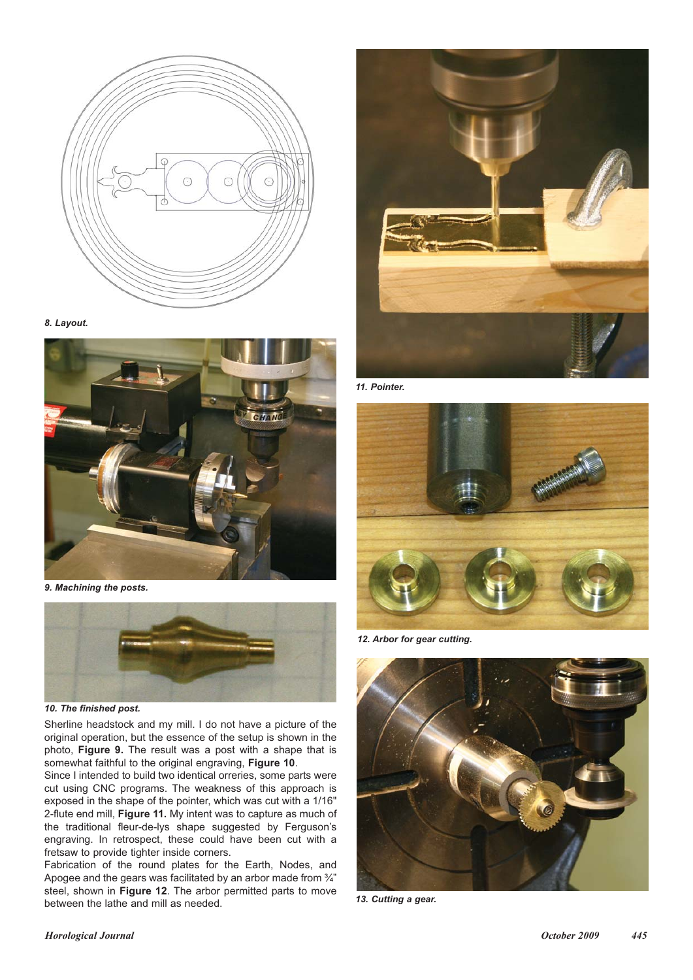

*8. Layout.*



*9. Machining the posts.*



*10. The finished post.*

Sherline headstock and my mill. I do not have a picture of the original operation, but the essence of the setup is shown in the photo, **Figure 9.** The result was a post with a shape that is somewhat faithful to the original engraving, **Figure 10**.

Since I intended to build two identical orreries, some parts were cut using CNC programs. The weakness of this approach is exposed in the shape of the pointer, which was cut with a 1/16" 2-flute end mill, **Figure 11.** My intent was to capture as much of the traditional fleur-de-lys shape suggested by Ferguson's engraving. In retrospect, these could have been cut with a fretsaw to provide tighter inside corners.

Fabrication of the round plates for the Earth, Nodes, and Apogee and the gears was facilitated by an arbor made from  $\frac{3}{4}$ " steel, shown in **Figure 12**. The arbor permitted parts to move between the lathe and mill as needed.



*11. Pointer.*



*12. Arbor for gear cutting.*



*13. Cutting a gear.*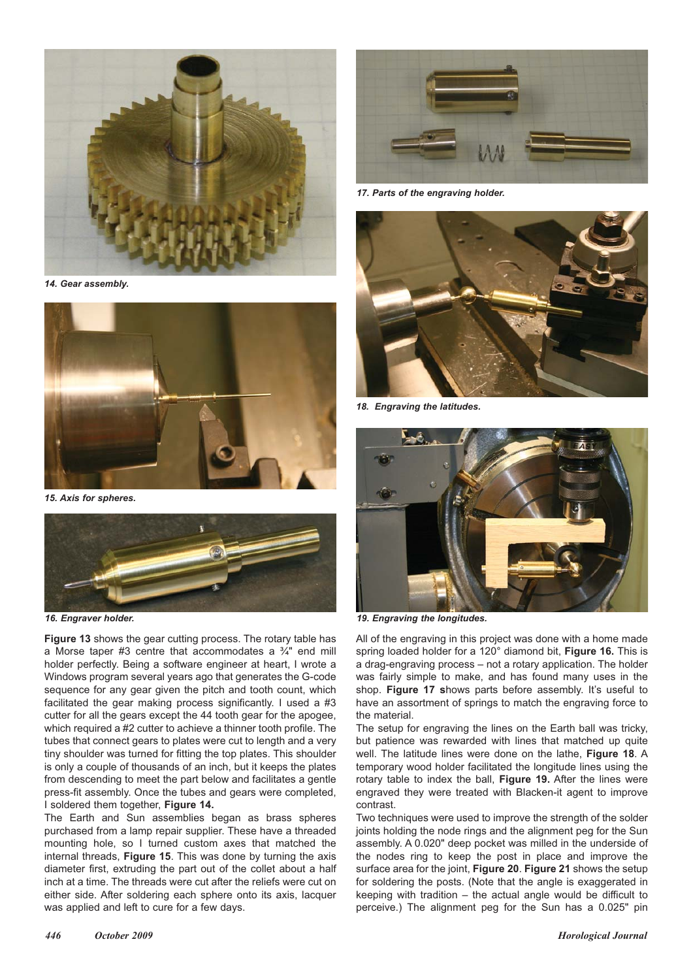

*14. Gear assembly.*



*15. Axis for spheres.*



*16. Engraver holder.*

**Figure 13** shows the gear cutting process. The rotary table has a Morse taper #3 centre that accommodates a ¾" end mill holder perfectly. Being a software engineer at heart, I wrote a Windows program several years ago that generates the G-code sequence for any gear given the pitch and tooth count, which facilitated the gear making process significantly. I used a #3 cutter for all the gears except the 44 tooth gear for the apogee, which required a #2 cutter to achieve a thinner tooth profile. The tubes that connect gears to plates were cut to length and a very tiny shoulder was turned for fitting the top plates. This shoulder is only a couple of thousands of an inch, but it keeps the plates from descending to meet the part below and facilitates a gentle press-fit assembly. Once the tubes and gears were completed, I soldered them together, **Figure 14.**

The Earth and Sun assemblies began as brass spheres purchased from a lamp repair supplier. These have a threaded mounting hole, so I turned custom axes that matched the internal threads, **Figure 15**. This was done by turning the axis diameter first, extruding the part out of the collet about a half inch at a time. The threads were cut after the reliefs were cut on either side. After soldering each sphere onto its axis, lacquer was applied and left to cure for a few days.



*17. Parts of the engraving holder.*



*18. Engraving the latitudes.*



*19. Engraving the longitudes.*

All of the engraving in this project was done with a home made spring loaded holder for a 120° diamond bit, **Figure 16.** This is a drag-engraving process – not a rotary application. The holder was fairly simple to make, and has found many uses in the shop. **Figure 17 s**hows parts before assembly. It's useful to have an assortment of springs to match the engraving force to the material.

The setup for engraving the lines on the Earth ball was tricky, but patience was rewarded with lines that matched up quite well. The latitude lines were done on the lathe, **Figure 18**. A temporary wood holder facilitated the longitude lines using the rotary table to index the ball, **Figure 19.** After the lines were engraved they were treated with Blacken-it agent to improve contrast.

Two techniques were used to improve the strength of the solder joints holding the node rings and the alignment peg for the Sun assembly. A 0.020" deep pocket was milled in the underside of the nodes ring to keep the post in place and improve the surface area for the joint, **Figure 20**. **Figure 21** shows the setup for soldering the posts. (Note that the angle is exaggerated in keeping with tradition – the actual angle would be difficult to perceive.) The alignment peg for the Sun has a 0.025" pin